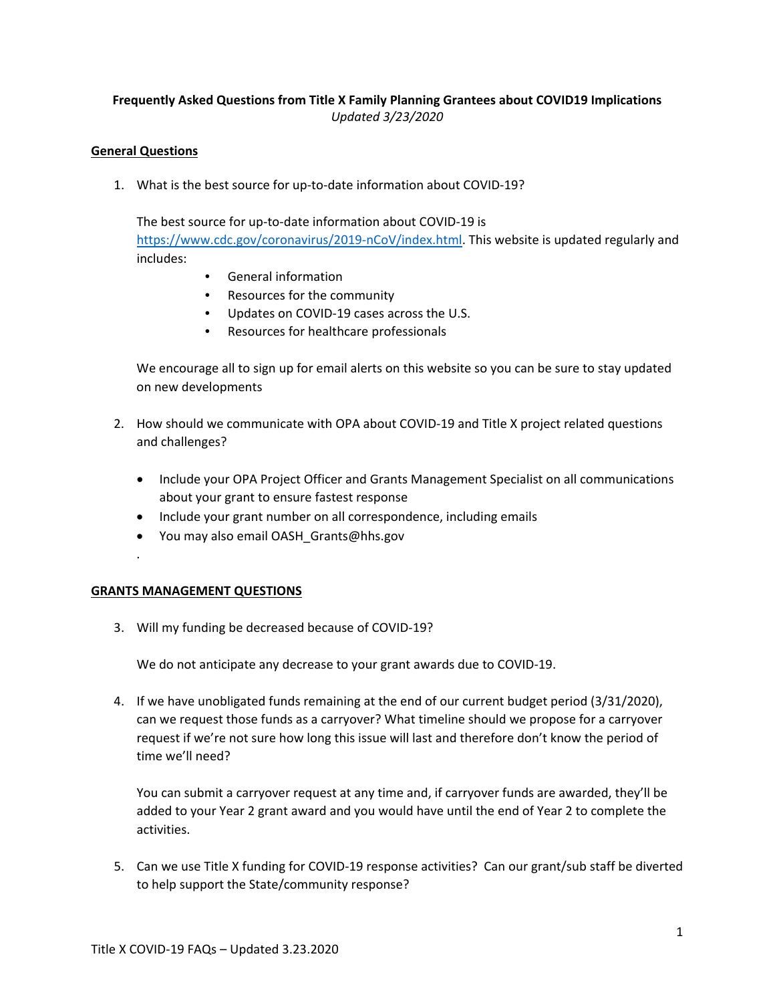# **Frequently Asked Questions from Title X Family Planning Grantees about COVID19 Implications** *Updated 3/23/2020*

### **General Questions**

1. What is the best source for up-to-date information about COVID-19?

The best source for up-to-date information about COVID-19 is [https://www.cdc.gov/coronavirus/2019-nCoV/index.html.](https://www.cdc.gov/coronavirus/2019-nCoV/index.html) This website is updated regularly and includes:

- General information
- Resources for the community
- Updates on COVID-19 cases across the U.S.
- Resources for healthcare professionals

We encourage all to sign up for email alerts on this website so you can be sure to stay updated on new developments

- 2. How should we communicate with OPA about COVID-19 and Title X project related questions and challenges?
	- Include your OPA Project Officer and Grants Management Specialist on all communications about your grant to ensure fastest response
	- Include your grant number on all correspondence, including emails
	- You may also email OASH\_Grants@hhs.gov

### **GRANTS MANAGEMENT QUESTIONS**

.

3. Will my funding be decreased because of COVID-19?

We do not anticipate any decrease to your grant awards due to COVID-19.

4. If we have unobligated funds remaining at the end of our current budget period (3/31/2020), can we request those funds as a carryover? What timeline should we propose for a carryover request if we're not sure how long this issue will last and therefore don't know the period of time we'll need?

You can submit a carryover request at any time and, if carryover funds are awarded, they'll be added to your Year 2 grant award and you would have until the end of Year 2 to complete the activities.

5. Can we use Title X funding for COVID-19 response activities? Can our grant/sub staff be diverted to help support the State/community response?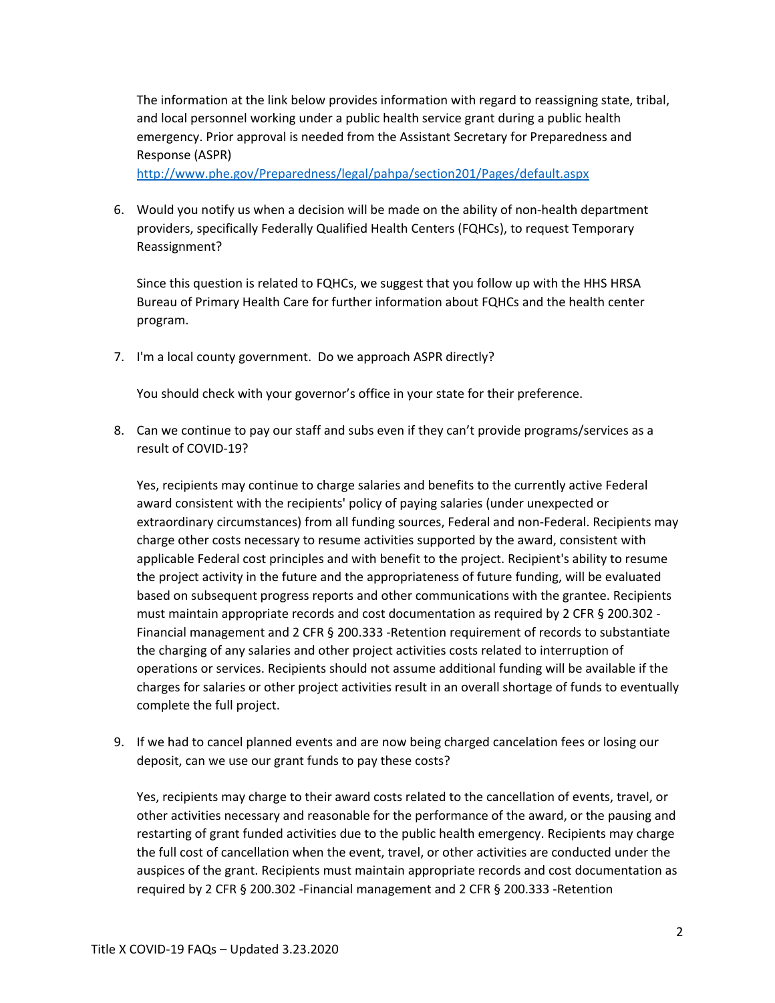The information at the link below provides information with regard to reassigning state, tribal, and local personnel working under a public health service grant during a public health emergency. Prior approval is needed from the Assistant Secretary for Preparedness and Response (ASPR)

<http://www.phe.gov/Preparedness/legal/pahpa/section201/Pages/default.aspx>

6. Would you notify us when a decision will be made on the ability of non-health department providers, specifically Federally Qualified Health Centers (FQHCs), to request Temporary Reassignment?

Since this question is related to FQHCs, we suggest that you follow up with the HHS HRSA Bureau of Primary Health Care for further information about FQHCs and the health center program.

7. I'm a local county government. Do we approach ASPR directly?

You should check with your governor's office in your state for their preference.

8. Can we continue to pay our staff and subs even if they can't provide programs/services as a result of COVID-19?

Yes, recipients may continue to charge salaries and benefits to the currently active Federal award consistent with the recipients' policy of paying salaries (under unexpected or extraordinary circumstances) from all funding sources, Federal and non-Federal. Recipients may charge other costs necessary to resume activities supported by the award, consistent with applicable Federal cost principles and with benefit to the project. Recipient's ability to resume the project activity in the future and the appropriateness of future funding, will be evaluated based on subsequent progress reports and other communications with the grantee. Recipients must maintain appropriate records and cost documentation as required by 2 CFR § 200.302 - Financial management and 2 CFR § 200.333 -Retention requirement of records to substantiate the charging of any salaries and other project activities costs related to interruption of operations or services. Recipients should not assume additional funding will be available if the charges for salaries or other project activities result in an overall shortage of funds to eventually complete the full project.

9. If we had to cancel planned events and are now being charged cancelation fees or losing our deposit, can we use our grant funds to pay these costs?

Yes, recipients may charge to their award costs related to the cancellation of events, travel, or other activities necessary and reasonable for the performance of the award, or the pausing and restarting of grant funded activities due to the public health emergency. Recipients may charge the full cost of cancellation when the event, travel, or other activities are conducted under the auspices of the grant. Recipients must maintain appropriate records and cost documentation as required by 2 CFR § 200.302 -Financial management and 2 CFR § 200.333 -Retention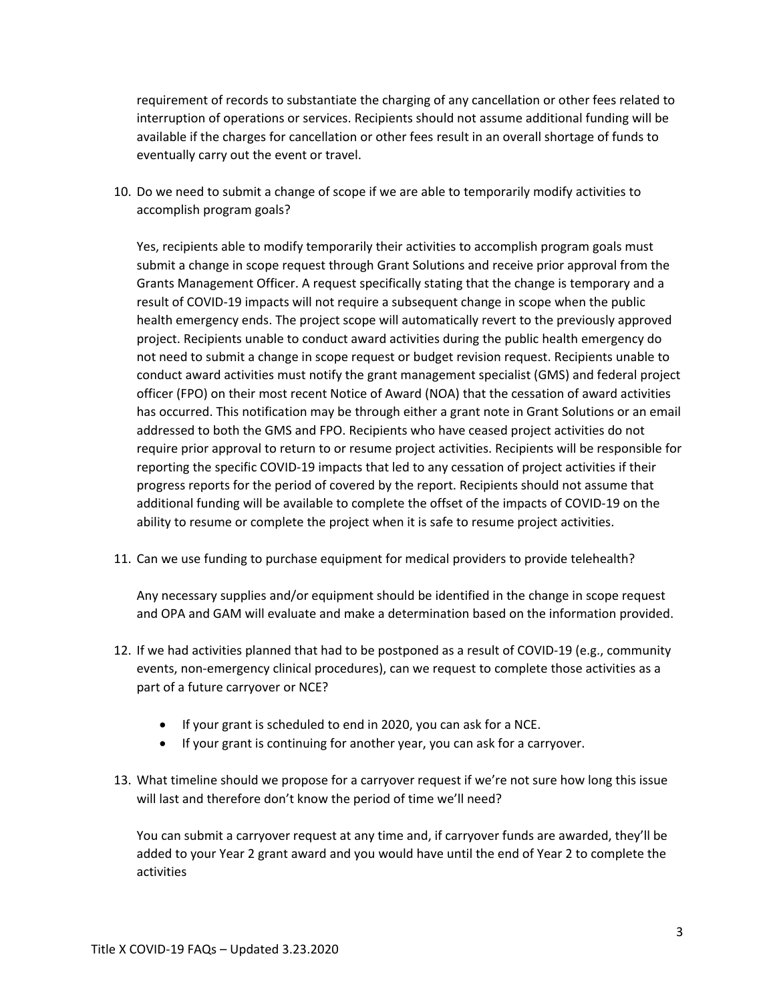requirement of records to substantiate the charging of any cancellation or other fees related to interruption of operations or services. Recipients should not assume additional funding will be available if the charges for cancellation or other fees result in an overall shortage of funds to eventually carry out the event or travel.

10. Do we need to submit a change of scope if we are able to temporarily modify activities to accomplish program goals?

Yes, recipients able to modify temporarily their activities to accomplish program goals must submit a change in scope request through Grant Solutions and receive prior approval from the Grants Management Officer. A request specifically stating that the change is temporary and a result of COVID-19 impacts will not require a subsequent change in scope when the public health emergency ends. The project scope will automatically revert to the previously approved project. Recipients unable to conduct award activities during the public health emergency do not need to submit a change in scope request or budget revision request. Recipients unable to conduct award activities must notify the grant management specialist (GMS) and federal project officer (FPO) on their most recent Notice of Award (NOA) that the cessation of award activities has occurred. This notification may be through either a grant note in Grant Solutions or an email addressed to both the GMS and FPO. Recipients who have ceased project activities do not require prior approval to return to or resume project activities. Recipients will be responsible for reporting the specific COVID-19 impacts that led to any cessation of project activities if their progress reports for the period of covered by the report. Recipients should not assume that additional funding will be available to complete the offset of the impacts of COVID-19 on the ability to resume or complete the project when it is safe to resume project activities.

11. Can we use funding to purchase equipment for medical providers to provide telehealth?

Any necessary supplies and/or equipment should be identified in the change in scope request and OPA and GAM will evaluate and make a determination based on the information provided.

- 12. If we had activities planned that had to be postponed as a result of COVID-19 (e.g., community events, non-emergency clinical procedures), can we request to complete those activities as a part of a future carryover or NCE?
	- If your grant is scheduled to end in 2020, you can ask for a NCE.
	- If your grant is continuing for another year, you can ask for a carryover.
- 13. What timeline should we propose for a carryover request if we're not sure how long this issue will last and therefore don't know the period of time we'll need?

You can submit a carryover request at any time and, if carryover funds are awarded, they'll be added to your Year 2 grant award and you would have until the end of Year 2 to complete the activities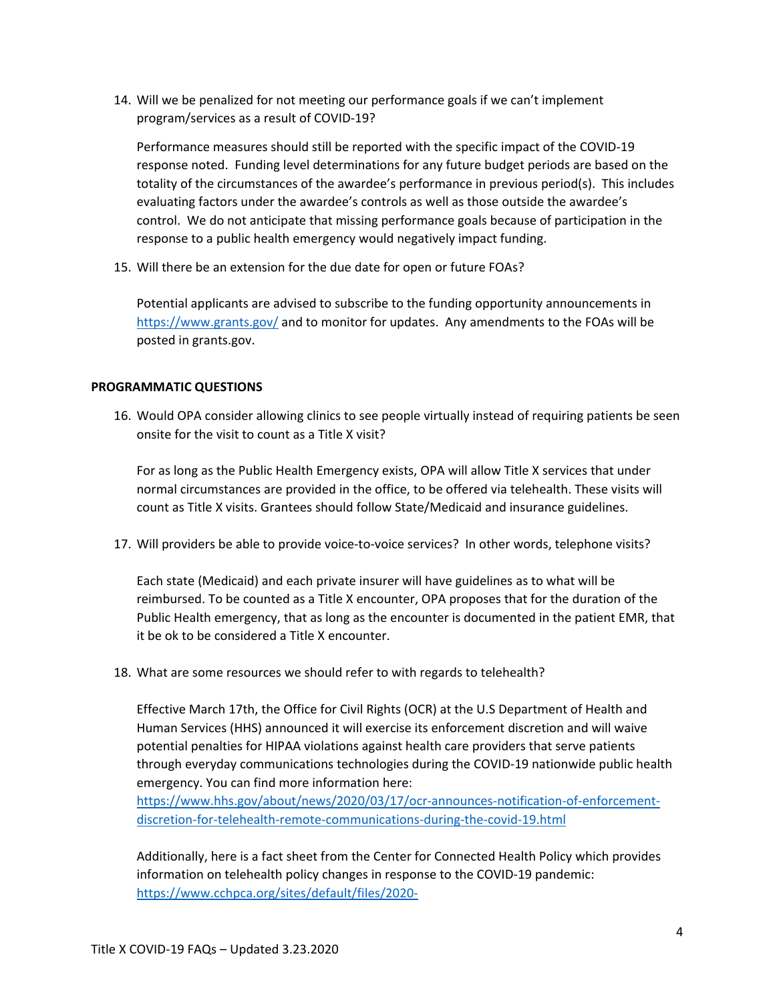14. Will we be penalized for not meeting our performance goals if we can't implement program/services as a result of COVID-19?

Performance measures should still be reported with the specific impact of the COVID-19 response noted. Funding level determinations for any future budget periods are based on the totality of the circumstances of the awardee's performance in previous period(s). This includes evaluating factors under the awardee's controls as well as those outside the awardee's control. We do not anticipate that missing performance goals because of participation in the response to a public health emergency would negatively impact funding.

15. Will there be an extension for the due date for open or future FOAs?

Potential applicants are advised to subscribe to the funding opportunity announcements in <https://www.grants.gov/> and to monitor for updates. Any amendments to the FOAs will be posted in grants.gov.

#### **PROGRAMMATIC QUESTIONS**

16. Would OPA consider allowing clinics to see people virtually instead of requiring patients be seen onsite for the visit to count as a Title X visit?

For as long as the Public Health Emergency exists, OPA will allow Title X services that under normal circumstances are provided in the office, to be offered via telehealth. These visits will count as Title X visits. Grantees should follow State/Medicaid and insurance guidelines.

17. Will providers be able to provide voice-to-voice services? In other words, telephone visits?

Each state (Medicaid) and each private insurer will have guidelines as to what will be reimbursed. To be counted as a Title X encounter, OPA proposes that for the duration of the Public Health emergency, that as long as the encounter is documented in the patient EMR, that it be ok to be considered a Title X encounter.

18. What are some resources we should refer to with regards to telehealth?

Effective March 17th, the Office for Civil Rights (OCR) at the U.S Department of Health and Human Services (HHS) announced it will exercise its enforcement discretion and will waive potential penalties for HIPAA violations against health care providers that serve patients through everyday communications technologies during the COVID-19 nationwide public health emergency. You can find more information here:

[https://www.hhs.gov/about/news/2020/03/17/ocr-announces-notification-of-enforcement](https://www.hhs.gov/about/news/2020/03/17/ocr-announces-notification-of-enforcement-discretion-for-telehealth-remote-communications-during-the-covid-19.html)[discretion-for-telehealth-remote-communications-during-the-covid-19.html](https://www.hhs.gov/about/news/2020/03/17/ocr-announces-notification-of-enforcement-discretion-for-telehealth-remote-communications-during-the-covid-19.html)

Additionally, here is a fact sheet from the Center for Connected Health Policy which provides information on telehealth policy changes in response to the COVID-19 pandemic: [https://www.cchpca.org/sites/default/files/2020-](https://www.cchpca.org/sites/default/files/2020-03/CORONAVIRUS%20TELEHEALTH%20POLICY%20FACT%20SHEET%20MAR%2017%202020%203%20PM.pdf)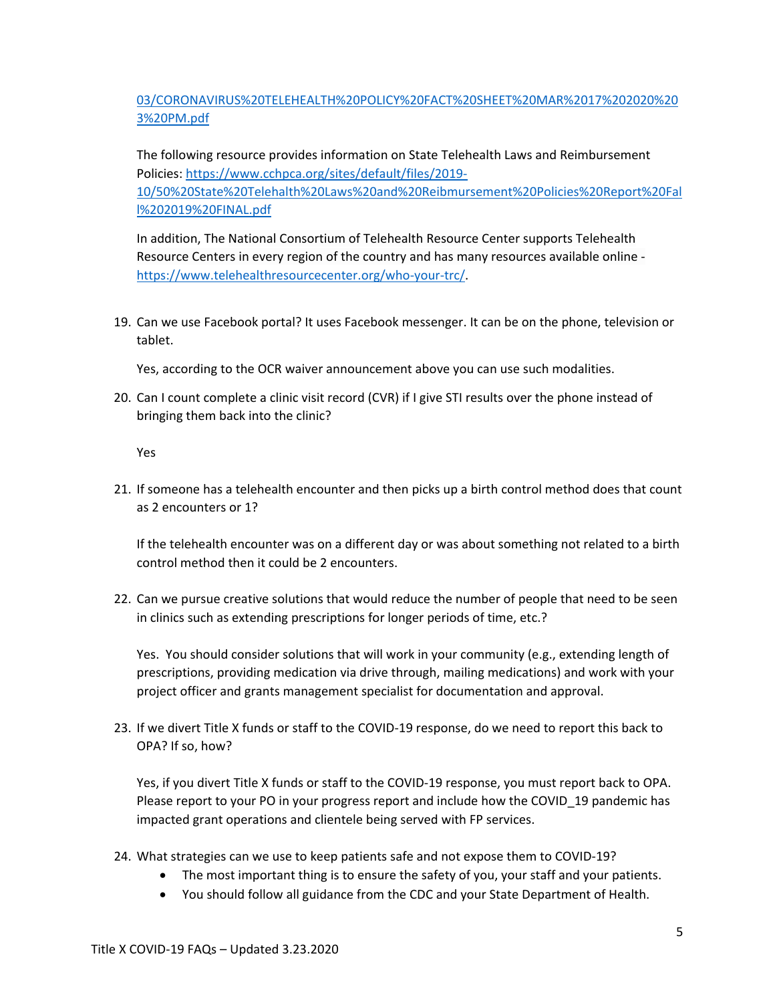## [03/CORONAVIRUS%20TELEHEALTH%20POLICY%20FACT%20SHEET%20MAR%2017%202020%20](https://www.cchpca.org/sites/default/files/2020-03/CORONAVIRUS%20TELEHEALTH%20POLICY%20FACT%20SHEET%20MAR%2017%202020%203%20PM.pdf) [3%20PM.pdf](https://www.cchpca.org/sites/default/files/2020-03/CORONAVIRUS%20TELEHEALTH%20POLICY%20FACT%20SHEET%20MAR%2017%202020%203%20PM.pdf)

The following resource provides information on State Telehealth Laws and Reimbursement Policies: [https://www.cchpca.org/sites/default/files/2019-](https://www.cchpca.org/sites/default/files/2019-10/50%20State%20Telehalth%20Laws%20and%20Reibmursement%20Policies%20Report%20Fall%202019%20FINAL.pdf) [10/50%20State%20Telehalth%20Laws%20and%20Reibmursement%20Policies%20Report%20Fal](https://www.cchpca.org/sites/default/files/2019-10/50%20State%20Telehalth%20Laws%20and%20Reibmursement%20Policies%20Report%20Fall%202019%20FINAL.pdf) [l%202019%20FINAL.pdf](https://www.cchpca.org/sites/default/files/2019-10/50%20State%20Telehalth%20Laws%20and%20Reibmursement%20Policies%20Report%20Fall%202019%20FINAL.pdf)

In addition, The National Consortium of Telehealth Resource Center supports Telehealth Resource Centers in every region of the country and has many resources available online [https://www.telehealthresourcecenter.org/who-your-trc/.](https://www.telehealthresourcecenter.org/who-your-trc/)

19. Can we use Facebook portal? It uses Facebook messenger. It can be on the phone, television or tablet.

Yes, according to the OCR waiver announcement above you can use such modalities.

20. Can I count complete a clinic visit record (CVR) if I give STI results over the phone instead of bringing them back into the clinic?

Yes

21. If someone has a telehealth encounter and then picks up a birth control method does that count as 2 encounters or 1?

If the telehealth encounter was on a different day or was about something not related to a birth control method then it could be 2 encounters.

22. Can we pursue creative solutions that would reduce the number of people that need to be seen in clinics such as extending prescriptions for longer periods of time, etc.?

Yes. You should consider solutions that will work in your community (e.g., extending length of prescriptions, providing medication via drive through, mailing medications) and work with your project officer and grants management specialist for documentation and approval.

23. If we divert Title X funds or staff to the COVID-19 response, do we need to report this back to OPA? If so, how?

Yes, if you divert Title X funds or staff to the COVID-19 response, you must report back to OPA. Please report to your PO in your progress report and include how the COVID\_19 pandemic has impacted grant operations and clientele being served with FP services.

- 24. What strategies can we use to keep patients safe and not expose them to COVID-19?
	- The most important thing is to ensure the safety of you, your staff and your patients.
	- You should follow all guidance from the CDC and your State Department of Health.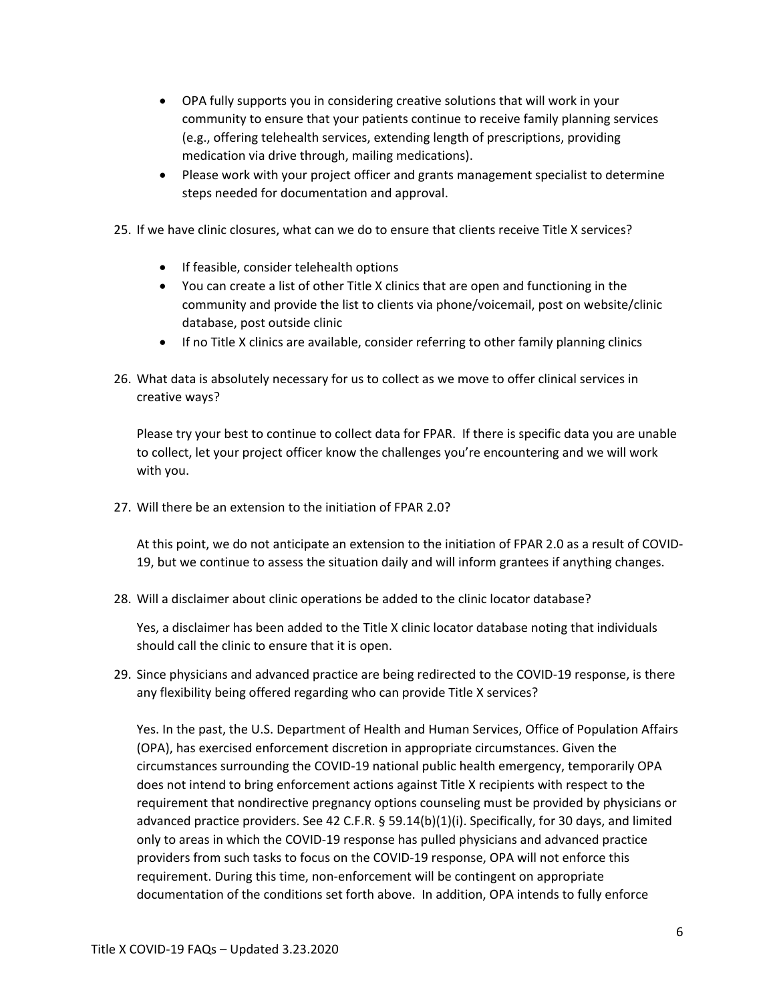- OPA fully supports you in considering creative solutions that will work in your community to ensure that your patients continue to receive family planning services (e.g., offering telehealth services, extending length of prescriptions, providing medication via drive through, mailing medications).
- Please work with your project officer and grants management specialist to determine steps needed for documentation and approval.
- 25. If we have clinic closures, what can we do to ensure that clients receive Title X services?
	- If feasible, consider telehealth options
	- You can create a list of other Title X clinics that are open and functioning in the community and provide the list to clients via phone/voicemail, post on website/clinic database, post outside clinic
	- If no Title X clinics are available, consider referring to other family planning clinics
- 26. What data is absolutely necessary for us to collect as we move to offer clinical services in creative ways?

Please try your best to continue to collect data for FPAR. If there is specific data you are unable to collect, let your project officer know the challenges you're encountering and we will work with you.

27. Will there be an extension to the initiation of FPAR 2.0?

At this point, we do not anticipate an extension to the initiation of FPAR 2.0 as a result of COVID-19, but we continue to assess the situation daily and will inform grantees if anything changes.

28. Will a disclaimer about clinic operations be added to the clinic locator database?

Yes, a disclaimer has been added to the Title X clinic locator database noting that individuals should call the clinic to ensure that it is open.

29. Since physicians and advanced practice are being redirected to the COVID-19 response, is there any flexibility being offered regarding who can provide Title X services?

Yes. In the past, the U.S. Department of Health and Human Services, Office of Population Affairs (OPA), has exercised enforcement discretion in appropriate circumstances. Given the circumstances surrounding the COVID-19 national public health emergency, temporarily OPA does not intend to bring enforcement actions against Title X recipients with respect to the requirement that nondirective pregnancy options counseling must be provided by physicians or advanced practice providers. See 42 C.F.R. § 59.14(b)(1)(i). Specifically, for 30 days, and limited only to areas in which the COVID-19 response has pulled physicians and advanced practice providers from such tasks to focus on the COVID-19 response, OPA will not enforce this requirement. During this time, non-enforcement will be contingent on appropriate documentation of the conditions set forth above. In addition, OPA intends to fully enforce